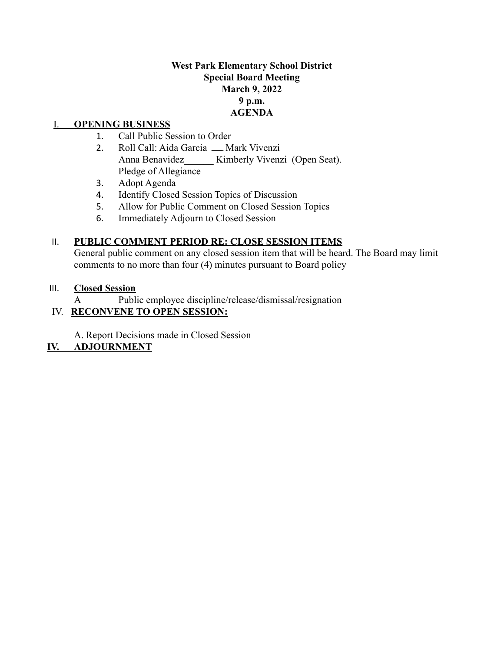# **West Park Elementary School District Special Board Meeting March 9, 2022 9 p.m. AGENDA**

### I. **OPENING BUSINESS**

- 1. Call Public Session to Order
- 2. Roll Call: Aida Garcia \_ Mark Vivenzi Anna Benavidez Kimberly Vivenzi (Open Seat). Pledge of Allegiance
- 3. Adopt Agenda
- 4. Identify Closed Session Topics of Discussion
- 5. Allow for Public Comment on Closed Session Topics
- 6. Immediately Adjourn to Closed Session

### II. **PUBLIC COMMENT PERIOD RE: CLOSE SESSION ITEMS**

General public comment on any closed session item that will be heard. The Board may limit comments to no more than four (4) minutes pursuant to Board policy

#### III. **Closed Session**

A Public employee discipline/release/dismissal/resignation

# IV. **RECONVENE TO OPEN SESSION:**

A. Report Decisions made in Closed Session

# **IV. ADJOURNMENT**